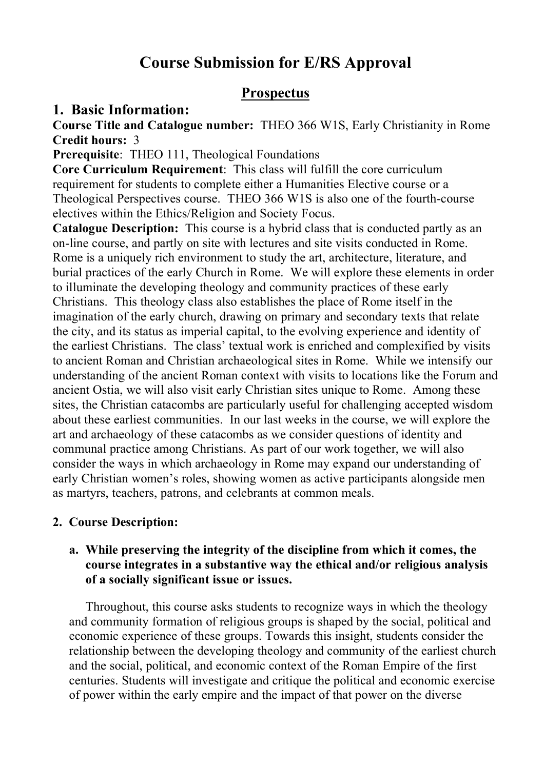# **Course Submission for E/RS Approval**

# **Prospectus**

# **1. Basic Information:**

**Course Title and Catalogue number:** THEO 366 W1S, Early Christianity in Rome **Credit hours:** 3

**Prerequisite**: THEO 111, Theological Foundations

**Core Curriculum Requirement**: This class will fulfill the core curriculum requirement for students to complete either a Humanities Elective course or a Theological Perspectives course. THEO 366 W1S is also one of the fourth-course electives within the Ethics/Religion and Society Focus.

**Catalogue Description:** This course is a hybrid class that is conducted partly as an on-line course, and partly on site with lectures and site visits conducted in Rome. Rome is a uniquely rich environment to study the art, architecture, literature, and burial practices of the early Church in Rome. We will explore these elements in order to illuminate the developing theology and community practices of these early Christians. This theology class also establishes the place of Rome itself in the imagination of the early church, drawing on primary and secondary texts that relate the city, and its status as imperial capital, to the evolving experience and identity of the earliest Christians. The class' textual work is enriched and complexified by visits to ancient Roman and Christian archaeological sites in Rome. While we intensify our understanding of the ancient Roman context with visits to locations like the Forum and ancient Ostia, we will also visit early Christian sites unique to Rome. Among these sites, the Christian catacombs are particularly useful for challenging accepted wisdom about these earliest communities. In our last weeks in the course, we will explore the art and archaeology of these catacombs as we consider questions of identity and communal practice among Christians. As part of our work together, we will also consider the ways in which archaeology in Rome may expand our understanding of early Christian women's roles, showing women as active participants alongside men as martyrs, teachers, patrons, and celebrants at common meals.

# **2. Course Description:**

# **a. While preserving the integrity of the discipline from which it comes, the course integrates in a substantive way the ethical and/or religious analysis of a socially significant issue or issues.**

Throughout, this course asks students to recognize ways in which the theology and community formation of religious groups is shaped by the social, political and economic experience of these groups. Towards this insight, students consider the relationship between the developing theology and community of the earliest church and the social, political, and economic context of the Roman Empire of the first centuries. Students will investigate and critique the political and economic exercise of power within the early empire and the impact of that power on the diverse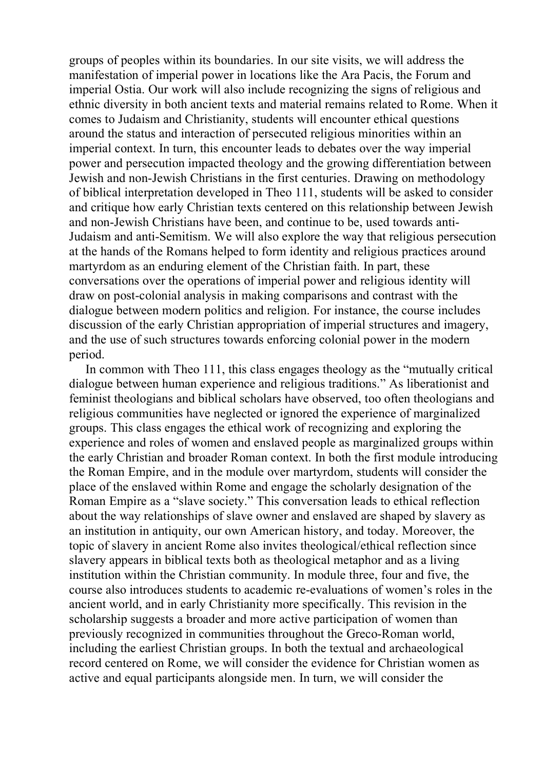groups of peoples within its boundaries. In our site visits, we will address the manifestation of imperial power in locations like the Ara Pacis, the Forum and imperial Ostia. Our work will also include recognizing the signs of religious and ethnic diversity in both ancient texts and material remains related to Rome. When it comes to Judaism and Christianity, students will encounter ethical questions around the status and interaction of persecuted religious minorities within an imperial context. In turn, this encounter leads to debates over the way imperial power and persecution impacted theology and the growing differentiation between Jewish and non-Jewish Christians in the first centuries. Drawing on methodology of biblical interpretation developed in Theo 111, students will be asked to consider and critique how early Christian texts centered on this relationship between Jewish and non-Jewish Christians have been, and continue to be, used towards anti-Judaism and anti-Semitism. We will also explore the way that religious persecution at the hands of the Romans helped to form identity and religious practices around martyrdom as an enduring element of the Christian faith. In part, these conversations over the operations of imperial power and religious identity will draw on post-colonial analysis in making comparisons and contrast with the dialogue between modern politics and religion. For instance, the course includes discussion of the early Christian appropriation of imperial structures and imagery, and the use of such structures towards enforcing colonial power in the modern period.

In common with Theo 111, this class engages theology as the "mutually critical dialogue between human experience and religious traditions." As liberationist and feminist theologians and biblical scholars have observed, too often theologians and religious communities have neglected or ignored the experience of marginalized groups. This class engages the ethical work of recognizing and exploring the experience and roles of women and enslaved people as marginalized groups within the early Christian and broader Roman context. In both the first module introducing the Roman Empire, and in the module over martyrdom, students will consider the place of the enslaved within Rome and engage the scholarly designation of the Roman Empire as a "slave society." This conversation leads to ethical reflection about the way relationships of slave owner and enslaved are shaped by slavery as an institution in antiquity, our own American history, and today. Moreover, the topic of slavery in ancient Rome also invites theological/ethical reflection since slavery appears in biblical texts both as theological metaphor and as a living institution within the Christian community. In module three, four and five, the course also introduces students to academic re-evaluations of women's roles in the ancient world, and in early Christianity more specifically. This revision in the scholarship suggests a broader and more active participation of women than previously recognized in communities throughout the Greco-Roman world, including the earliest Christian groups. In both the textual and archaeological record centered on Rome, we will consider the evidence for Christian women as active and equal participants alongside men. In turn, we will consider the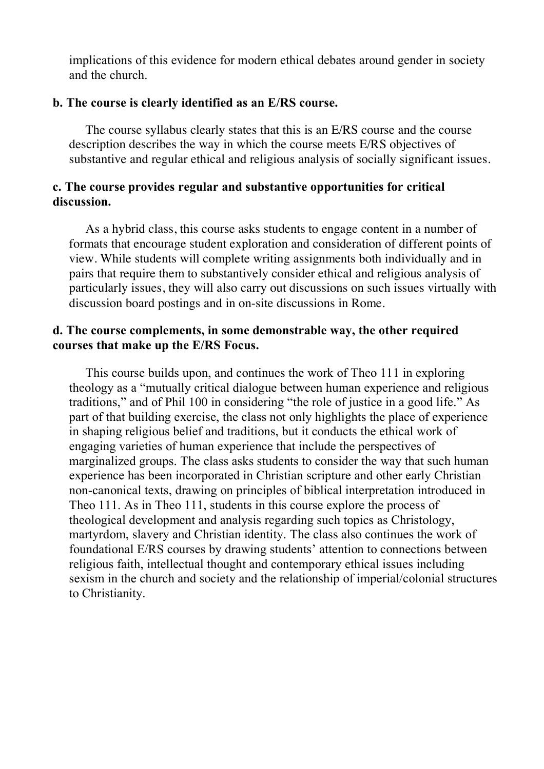implications of this evidence for modern ethical debates around gender in society and the church.

## **b. The course is clearly identified as an E/RS course.**

The course syllabus clearly states that this is an E/RS course and the course description describes the way in which the course meets E/RS objectives of substantive and regular ethical and religious analysis of socially significant issues.

# **c. The course provides regular and substantive opportunities for critical discussion.**

As a hybrid class, this course asks students to engage content in a number of formats that encourage student exploration and consideration of different points of view. While students will complete writing assignments both individually and in pairs that require them to substantively consider ethical and religious analysis of particularly issues, they will also carry out discussions on such issues virtually with discussion board postings and in on-site discussions in Rome.

# **d. The course complements, in some demonstrable way, the other required courses that make up the E/RS Focus.**

This course builds upon, and continues the work of Theo 111 in exploring theology as a "mutually critical dialogue between human experience and religious traditions," and of Phil 100 in considering "the role of justice in a good life." As part of that building exercise, the class not only highlights the place of experience in shaping religious belief and traditions, but it conducts the ethical work of engaging varieties of human experience that include the perspectives of marginalized groups. The class asks students to consider the way that such human experience has been incorporated in Christian scripture and other early Christian non-canonical texts, drawing on principles of biblical interpretation introduced in Theo 111. As in Theo 111, students in this course explore the process of theological development and analysis regarding such topics as Christology, martyrdom, slavery and Christian identity. The class also continues the work of foundational E/RS courses by drawing students' attention to connections between religious faith, intellectual thought and contemporary ethical issues including sexism in the church and society and the relationship of imperial/colonial structures to Christianity.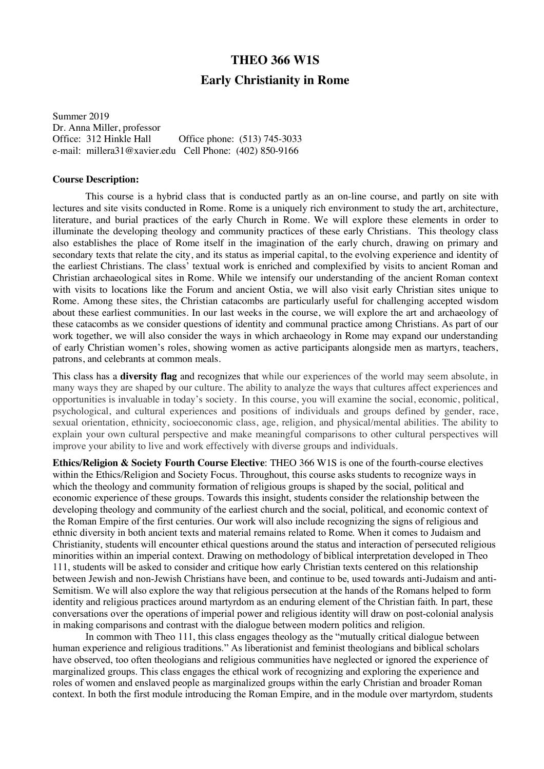# **THEO 366 W1S Early Christianity in Rome**

Summer 2019 Dr. Anna Miller, professor<br>Office: 312 Hinkle Hall Office phone: (513) 745-3033 e-mail: millera31@xavier.edu Cell Phone: (402) 850-9166

#### **Course Description:**

This course is a hybrid class that is conducted partly as an on-line course, and partly on site with lectures and site visits conducted in Rome. Rome is a uniquely rich environment to study the art, architecture, literature, and burial practices of the early Church in Rome. We will explore these elements in order to illuminate the developing theology and community practices of these early Christians. This theology class also establishes the place of Rome itself in the imagination of the early church, drawing on primary and secondary texts that relate the city, and its status as imperial capital, to the evolving experience and identity of the earliest Christians. The class' textual work is enriched and complexified by visits to ancient Roman and Christian archaeological sites in Rome. While we intensify our understanding of the ancient Roman context with visits to locations like the Forum and ancient Ostia, we will also visit early Christian sites unique to Rome. Among these sites, the Christian catacombs are particularly useful for challenging accepted wisdom about these earliest communities. In our last weeks in the course, we will explore the art and archaeology of these catacombs as we consider questions of identity and communal practice among Christians. As part of our work together, we will also consider the ways in which archaeology in Rome may expand our understanding of early Christian women's roles, showing women as active participants alongside men as martyrs, teachers, patrons, and celebrants at common meals.

This class has a **diversity flag** and recognizes that while our experiences of the world may seem absolute, in many ways they are shaped by our culture. The ability to analyze the ways that cultures affect experiences and opportunities is invaluable in today's society. In this course, you will examine the social, economic, political, psychological, and cultural experiences and positions of individuals and groups defined by gender, race, sexual orientation, ethnicity, socioeconomic class, age, religion, and physical/mental abilities. The ability to explain your own cultural perspective and make meaningful comparisons to other cultural perspectives will improve your ability to live and work effectively with diverse groups and individuals.

**Ethics/Religion & Society Fourth Course Elective**: THEO 366 W1S is one of the fourth-course electives within the Ethics/Religion and Society Focus. Throughout, this course asks students to recognize ways in which the theology and community formation of religious groups is shaped by the social, political and economic experience of these groups. Towards this insight, students consider the relationship between the developing theology and community of the earliest church and the social, political, and economic context of the Roman Empire of the first centuries. Our work will also include recognizing the signs of religious and ethnic diversity in both ancient texts and material remains related to Rome. When it comes to Judaism and Christianity, students will encounter ethical questions around the status and interaction of persecuted religious minorities within an imperial context. Drawing on methodology of biblical interpretation developed in Theo 111, students will be asked to consider and critique how early Christian texts centered on this relationship between Jewish and non-Jewish Christians have been, and continue to be, used towards anti-Judaism and anti-Semitism. We will also explore the way that religious persecution at the hands of the Romans helped to form identity and religious practices around martyrdom as an enduring element of the Christian faith. In part, these conversations over the operations of imperial power and religious identity will draw on post-colonial analysis in making comparisons and contrast with the dialogue between modern politics and religion.

In common with Theo 111, this class engages theology as the "mutually critical dialogue between human experience and religious traditions." As liberationist and feminist theologians and biblical scholars have observed, too often theologians and religious communities have neglected or ignored the experience of marginalized groups. This class engages the ethical work of recognizing and exploring the experience and roles of women and enslaved people as marginalized groups within the early Christian and broader Roman context. In both the first module introducing the Roman Empire, and in the module over martyrdom, students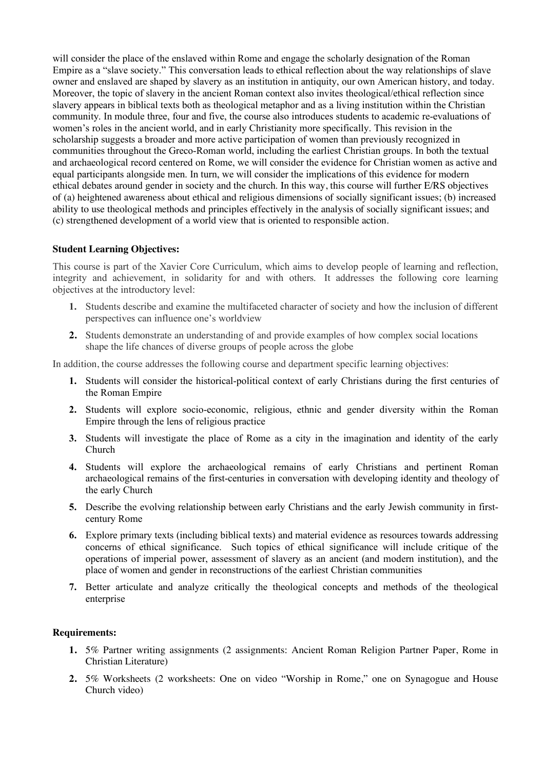will consider the place of the enslaved within Rome and engage the scholarly designation of the Roman Empire as a "slave society." This conversation leads to ethical reflection about the way relationships of slave owner and enslaved are shaped by slavery as an institution in antiquity, our own American history, and today. Moreover, the topic of slavery in the ancient Roman context also invites theological/ethical reflection since slavery appears in biblical texts both as theological metaphor and as a living institution within the Christian community. In module three, four and five, the course also introduces students to academic re-evaluations of women's roles in the ancient world, and in early Christianity more specifically. This revision in the scholarship suggests a broader and more active participation of women than previously recognized in communities throughout the Greco-Roman world, including the earliest Christian groups. In both the textual and archaeological record centered on Rome, we will consider the evidence for Christian women as active and equal participants alongside men. In turn, we will consider the implications of this evidence for modern ethical debates around gender in society and the church. In this way, this course will further E/RS objectives of (a) heightened awareness about ethical and religious dimensions of socially significant issues; (b) increased ability to use theological methods and principles effectively in the analysis of socially significant issues; and (c) strengthened development of a world view that is oriented to responsible action.

### **Student Learning Objectives:**

This course is part of the Xavier Core Curriculum, which aims to develop people of learning and reflection, integrity and achievement, in solidarity for and with others. It addresses the following core learning objectives at the introductory level:

- **1.** Students describe and examine the multifaceted character of society and how the inclusion of different perspectives can influence one's worldview
- **2.** Students demonstrate an understanding of and provide examples of how complex social locations shape the life chances of diverse groups of people across the globe

In addition, the course addresses the following course and department specific learning objectives:

- **1.** Students will consider the historical-political context of early Christians during the first centuries of the Roman Empire
- **2.** Students will explore socio-economic, religious, ethnic and gender diversity within the Roman Empire through the lens of religious practice
- **3.** Students will investigate the place of Rome as a city in the imagination and identity of the early Church
- **4.** Students will explore the archaeological remains of early Christians and pertinent Roman archaeological remains of the first-centuries in conversation with developing identity and theology of the early Church
- **5.** Describe the evolving relationship between early Christians and the early Jewish community in firstcentury Rome
- **6.** Explore primary texts (including biblical texts) and material evidence as resources towards addressing concerns of ethical significance. Such topics of ethical significance will include critique of the operations of imperial power, assessment of slavery as an ancient (and modern institution), and the place of women and gender in reconstructions of the earliest Christian communities
- **7.** Better articulate and analyze critically the theological concepts and methods of the theological enterprise

### **Requirements:**

- **1.** 5% Partner writing assignments (2 assignments: Ancient Roman Religion Partner Paper, Rome in Christian Literature)
- **2.** 5% Worksheets (2 worksheets: One on video "Worship in Rome," one on Synagogue and House Church video)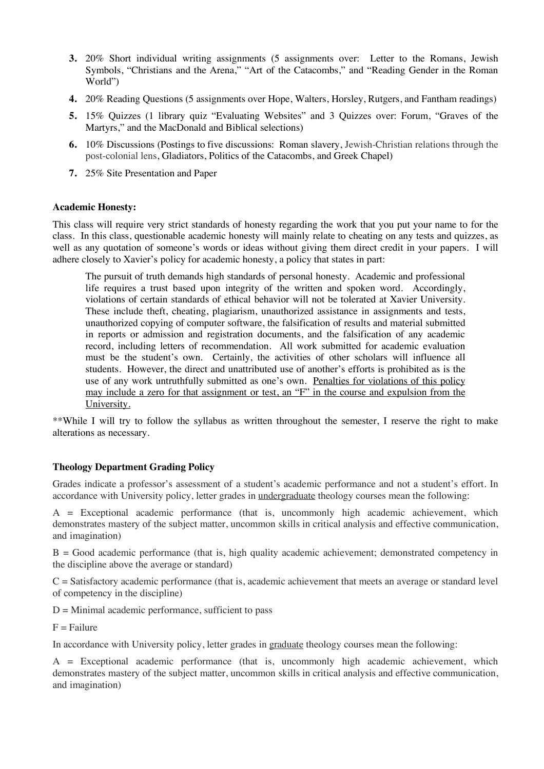- **3.** 20% Short individual writing assignments (5 assignments over: Letter to the Romans, Jewish Symbols, "Christians and the Arena," "Art of the Catacombs," and "Reading Gender in the Roman World")
- **4.** 20% Reading Questions (5 assignments over Hope, Walters, Horsley, Rutgers, and Fantham readings)
- **5.** 15% Quizzes (1 library quiz "Evaluating Websites" and 3 Quizzes over: Forum, "Graves of the Martyrs," and the MacDonald and Biblical selections)
- **6.** 10% Discussions (Postings to five discussions: Roman slavery, Jewish-Christian relations through the post-colonial lens, Gladiators, Politics of the Catacombs, and Greek Chapel)
- **7.** 25% Site Presentation and Paper

#### **Academic Honesty:**

This class will require very strict standards of honesty regarding the work that you put your name to for the class. In this class, questionable academic honesty will mainly relate to cheating on any tests and quizzes, as well as any quotation of someone's words or ideas without giving them direct credit in your papers. I will adhere closely to Xavier's policy for academic honesty, a policy that states in part:

The pursuit of truth demands high standards of personal honesty. Academic and professional life requires a trust based upon integrity of the written and spoken word. Accordingly, violations of certain standards of ethical behavior will not be tolerated at Xavier University. These include theft, cheating, plagiarism, unauthorized assistance in assignments and tests, unauthorized copying of computer software, the falsification of results and material submitted in reports or admission and registration documents, and the falsification of any academic record, including letters of recommendation. All work submitted for academic evaluation must be the student's own. Certainly, the activities of other scholars will influence all students. However, the direct and unattributed use of another's efforts is prohibited as is the use of any work untruthfully submitted as one's own. Penalties for violations of this policy may include a zero for that assignment or test, an "F" in the course and expulsion from the University.

\*\*While I will try to follow the syllabus as written throughout the semester, I reserve the right to make alterations as necessary.

### **Theology Department Grading Policy**

Grades indicate a professor's assessment of a student's academic performance and not a student's effort. In accordance with University policy, letter grades in <u>undergraduate</u> theology courses mean the following:

A = Exceptional academic performance (that is, uncommonly high academic achievement, which demonstrates mastery of the subject matter, uncommon skills in critical analysis and effective communication, and imagination)

B = Good academic performance (that is, high quality academic achievement; demonstrated competency in the discipline above the average or standard)

 $C =$  Satisfactory academic performance (that is, academic achievement that meets an average or standard level of competency in the discipline)

 $D =$  Minimal academic performance, sufficient to pass

 $F =$ Failure

In accordance with University policy, letter grades in graduate theology courses mean the following:

A = Exceptional academic performance (that is, uncommonly high academic achievement, which demonstrates mastery of the subject matter, uncommon skills in critical analysis and effective communication, and imagination)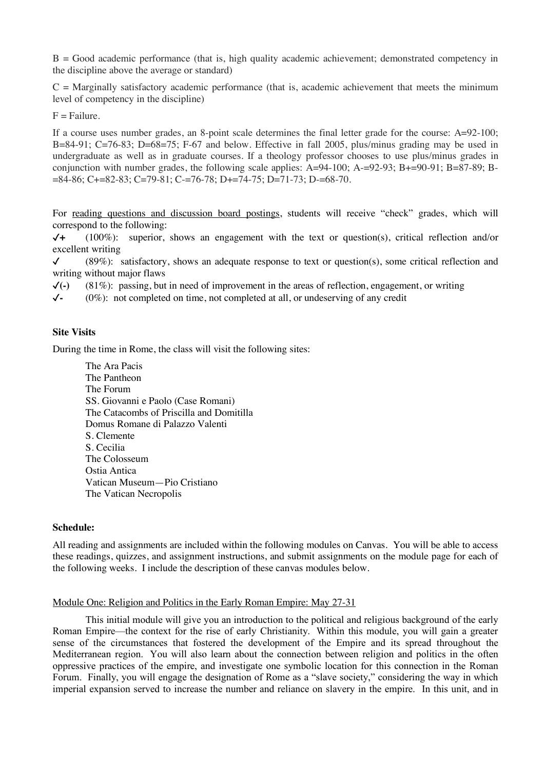$B = Good academic performance$  (that is, high quality academic achievement; demonstrated competency in the discipline above the average or standard)

 $C =$  Marginally satisfactory academic performance (that is, academic achievement that meets the minimum level of competency in the discipline)

 $F =$ Failure.

If a course uses number grades, an 8-point scale determines the final letter grade for the course: A=92-100; B=84-91; C=76-83; D=68=75; F-67 and below. Effective in fall 2005, plus/minus grading may be used in undergraduate as well as in graduate courses. If a theology professor chooses to use plus/minus grades in conjunction with number grades, the following scale applies:  $A=94-100$ ;  $A=-92-93$ ;  $B+=90-91$ ;  $B=87-89$ ;  $B=$ =84-86; C+=82-83; C=79-81; C-=76-78; D+=74-75; D=71-73; D-=68-70.

For reading questions and discussion board postings, students will receive "check" grades, which will correspond to the following:

✓**+** (100%): superior, shows an engagement with the text or question(s), critical reflection and/or excellent writing

 $\checkmark$  (89%): satisfactory, shows an adequate response to text or question(s), some critical reflection and writing without major flaws

✓**(-)** (81%): passing, but in need of improvement in the areas of reflection, engagement, or writing

✓**-** (0%): not completed on time, not completed at all, or undeserving of any credit

#### **Site Visits**

During the time in Rome, the class will visit the following sites:

The Ara Pacis The Pantheon The Forum SS. Giovanni e Paolo (Case Romani) The Catacombs of Priscilla and Domitilla Domus Romane di Palazzo Valenti S. Clemente S. Cecilia The Colosseum Ostia Antica Vatican Museum—Pio Cristiano The Vatican Necropolis

#### **Schedule:**

All reading and assignments are included within the following modules on Canvas. You will be able to access these readings, quizzes, and assignment instructions, and submit assignments on the module page for each of the following weeks. I include the description of these canvas modules below.

#### Module One: Religion and Politics in the Early Roman Empire: May 27-31

This initial module will give you an introduction to the political and religious background of the early Roman Empire—the context for the rise of early Christianity. Within this module, you will gain a greater sense of the circumstances that fostered the development of the Empire and its spread throughout the Mediterranean region. You will also learn about the connection between religion and politics in the often oppressive practices of the empire, and investigate one symbolic location for this connection in the Roman Forum. Finally, you will engage the designation of Rome as a "slave society," considering the way in which imperial expansion served to increase the number and reliance on slavery in the empire. In this unit, and in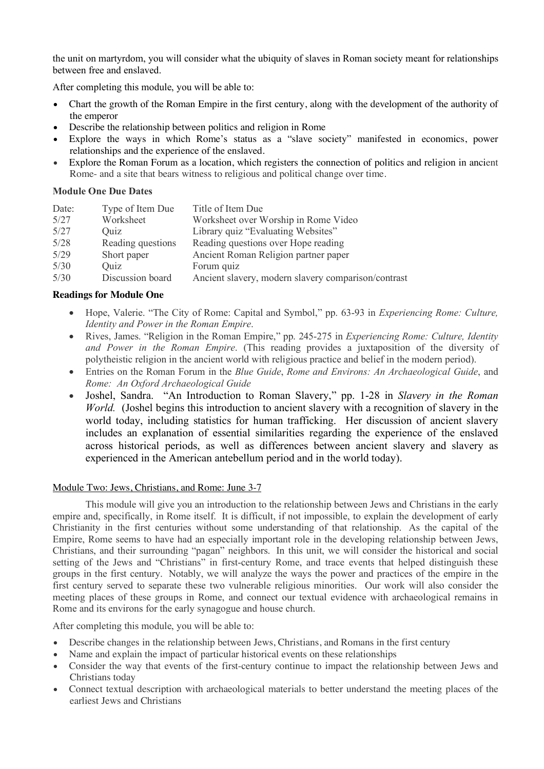the unit on martyrdom, you will consider what the ubiquity of slaves in Roman society meant for relationships between free and enslaved.

After completing this module, you will be able to:

- Chart the growth of the Roman Empire in the first century, along with the development of the authority of the emperor
- Describe the relationship between politics and religion in Rome
- Explore the ways in which Rome's status as a "slave society" manifested in economics, power relationships and the experience of the enslaved.
- Explore the Roman Forum as a location, which registers the connection of politics and religion in ancient Rome- and a site that bears witness to religious and political change over time.

## **Module One Due Dates**

| Date: | Type of Item Due  | Title of Item Due                                   |
|-------|-------------------|-----------------------------------------------------|
| 5/27  | Worksheet         | Worksheet over Worship in Rome Video                |
| 5/27  | Quiz              | Library quiz "Evaluating Websites"                  |
| 5/28  | Reading questions | Reading questions over Hope reading                 |
| 5/29  | Short paper       | Ancient Roman Religion partner paper                |
| 5/30  | Quiz              | Forum quiz                                          |
| 5/30  | Discussion board  | Ancient slavery, modern slavery comparison/contrast |
|       |                   |                                                     |

## **Readings for Module One**

- Hope, Valerie. "The City of Rome: Capital and Symbol," pp. 63-93 in *Experiencing Rome: Culture, Identity and Power in the Roman Empire*.
- Rives, James. "Religion in the Roman Empire," pp. 245-275 in *Experiencing Rome: Culture, Identity and Power in the Roman Empire*. (This reading provides a juxtaposition of the diversity of polytheistic religion in the ancient world with religious practice and belief in the modern period).
- Entries on the Roman Forum in the *Blue Guide*, *Rome and Environs: An Archaeological Guide*, and *Rome: An Oxford Archaeological Guide*
- Joshel, Sandra. "An Introduction to Roman Slavery," pp. 1-28 in *Slavery in the Roman World.* (Joshel begins this introduction to ancient slavery with a recognition of slavery in the world today, including statistics for human trafficking. Her discussion of ancient slavery includes an explanation of essential similarities regarding the experience of the enslaved across historical periods, as well as differences between ancient slavery and slavery as experienced in the American antebellum period and in the world today).

### Module Two: Jews, Christians, and Rome: June 3-7

This module will give you an introduction to the relationship between Jews and Christians in the early empire and, specifically, in Rome itself. It is difficult, if not impossible, to explain the development of early Christianity in the first centuries without some understanding of that relationship. As the capital of the Empire, Rome seems to have had an especially important role in the developing relationship between Jews, Christians, and their surrounding "pagan" neighbors. In this unit, we will consider the historical and social setting of the Jews and "Christians" in first-century Rome, and trace events that helped distinguish these groups in the first century. Notably, we will analyze the ways the power and practices of the empire in the first century served to separate these two vulnerable religious minorities. Our work will also consider the meeting places of these groups in Rome, and connect our textual evidence with archaeological remains in Rome and its environs for the early synagogue and house church.

After completing this module, you will be able to:

- Describe changes in the relationship between Jews, Christians, and Romans in the first century
- Name and explain the impact of particular historical events on these relationships
- Consider the way that events of the first-century continue to impact the relationship between Jews and Christians today
- Connect textual description with archaeological materials to better understand the meeting places of the earliest Jews and Christians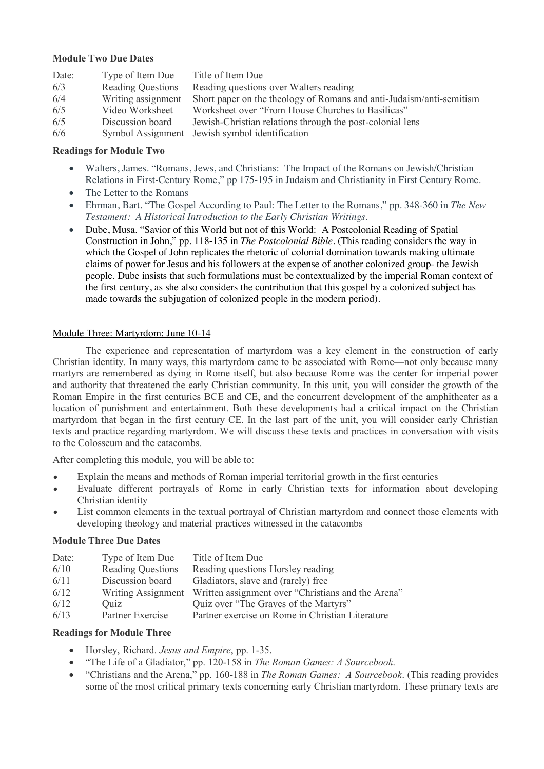### **Module Two Due Dates**

| Date: | Type of Item Due         | Title of Item Due                                                    |
|-------|--------------------------|----------------------------------------------------------------------|
| 6/3   | <b>Reading Questions</b> | Reading questions over Walters reading                               |
| 6/4   | Writing assignment       | Short paper on the theology of Romans and anti-Judaism/anti-semitism |
| 6/5   | Video Worksheet          | Worksheet over "From House Churches to Basilicas"                    |
| 6/5   | Discussion board         | Jewish-Christian relations through the post-colonial lens            |
| 6/6   |                          | Symbol Assignment Jewish symbol identification                       |

### **Readings for Module Two**

- Walters, James. "Romans, Jews, and Christians: The Impact of the Romans on Jewish/Christian Relations in First-Century Rome," pp 175-195 in Judaism and Christianity in First Century Rome.
- The Letter to the Romans
- Ehrman, Bart. "The Gospel According to Paul: The Letter to the Romans," pp. 348-360 in *The New Testament: A Historical Introduction to the Early Christian Writings*.
- Dube, Musa. "Savior of this World but not of this World: A Postcolonial Reading of Spatial Construction in John," pp. 118-135 in *The Postcolonial Bible*. (This reading considers the way in which the Gospel of John replicates the rhetoric of colonial domination towards making ultimate claims of power for Jesus and his followers at the expense of another colonized group- the Jewish people. Dube insists that such formulations must be contextualized by the imperial Roman context of the first century, as she also considers the contribution that this gospel by a colonized subject has made towards the subjugation of colonized people in the modern period).

### Module Three: Martyrdom: June 10-14

The experience and representation of martyrdom was a key element in the construction of early Christian identity. In many ways, this martyrdom came to be associated with Rome—not only because many martyrs are remembered as dying in Rome itself, but also because Rome was the center for imperial power and authority that threatened the early Christian community. In this unit, you will consider the growth of the Roman Empire in the first centuries BCE and CE, and the concurrent development of the amphitheater as a location of punishment and entertainment. Both these developments had a critical impact on the Christian martyrdom that began in the first century CE. In the last part of the unit, you will consider early Christian texts and practice regarding martyrdom. We will discuss these texts and practices in conversation with visits to the Colosseum and the catacombs.

After completing this module, you will be able to:

- Explain the means and methods of Roman imperial territorial growth in the first centuries
- Evaluate different portrayals of Rome in early Christian texts for information about developing Christian identity
- List common elements in the textual portrayal of Christian martyrdom and connect those elements with developing theology and material practices witnessed in the catacombs

### **Module Three Due Dates**

| Date: | Type of Item Due         | Title of Item Due                                                     |
|-------|--------------------------|-----------------------------------------------------------------------|
| 6/10  | <b>Reading Questions</b> | Reading questions Horsley reading                                     |
| 6/11  | Discussion board         | Gladiators, slave and (rarely) free                                   |
| 6/12  |                          | Writing Assignment Written assignment over "Christians and the Arena" |
| 6/12  | Ouiz                     | Quiz over "The Graves of the Martyrs"                                 |
| 6/13  | Partner Exercise         | Partner exercise on Rome in Christian Literature                      |

### **Readings for Module Three**

- Horsley, Richard. *Jesus and Empire*, pp. 1-35.
- "The Life of a Gladiator," pp. 120-158 in *The Roman Games: A Sourcebook*.
- "Christians and the Arena," pp. 160-188 in *The Roman Games: A Sourcebook*. (This reading provides some of the most critical primary texts concerning early Christian martyrdom. These primary texts are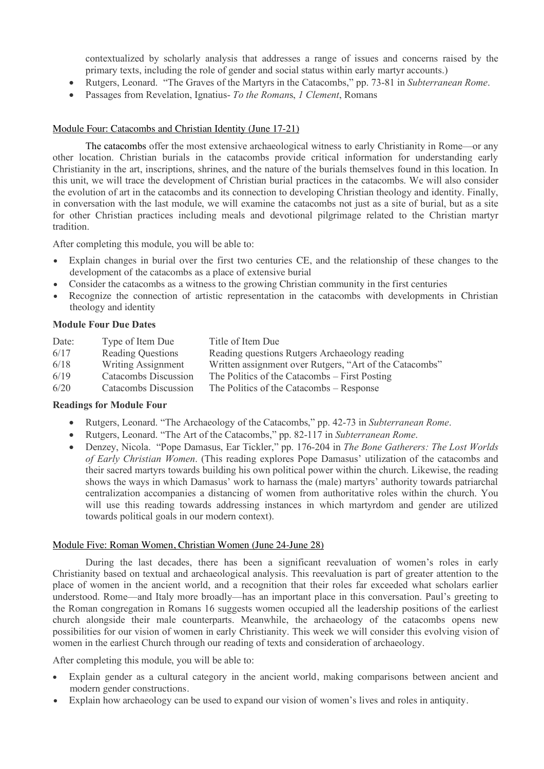contextualized by scholarly analysis that addresses a range of issues and concerns raised by the primary texts, including the role of gender and social status within early martyr accounts.)

- Rutgers, Leonard. "The Graves of the Martyrs in the Catacombs," pp. 73-81 in *Subterranean Rome*.
- Passages from Revelation, Ignatius- *To the Roman*s, *1 Clement*, Romans

#### Module Four: Catacombs and Christian Identity (June 17-21)

The catacombs offer the most extensive archaeological witness to early Christianity in Rome—or any other location. Christian burials in the catacombs provide critical information for understanding early Christianity in the art, inscriptions, shrines, and the nature of the burials themselves found in this location. In this unit, we will trace the development of Christian burial practices in the catacombs. We will also consider the evolution of art in the catacombs and its connection to developing Christian theology and identity. Finally, in conversation with the last module, we will examine the catacombs not just as a site of burial, but as a site for other Christian practices including meals and devotional pilgrimage related to the Christian martyr tradition.

After completing this module, you will be able to:

- Explain changes in burial over the first two centuries CE, and the relationship of these changes to the development of the catacombs as a place of extensive burial
- Consider the catacombs as a witness to the growing Christian community in the first centuries
- Recognize the connection of artistic representation in the catacombs with developments in Christian theology and identity

#### **Module Four Due Dates**

| Date: | Type of Item Due         | Title of Item Due                                       |
|-------|--------------------------|---------------------------------------------------------|
| 6/17  | <b>Reading Questions</b> | Reading questions Rutgers Archaeology reading           |
| 6/18  | Writing Assignment       | Written assignment over Rutgers, "Art of the Catacombs" |
| 6/19  | Catacombs Discussion     | The Politics of the Catacombs – First Posting           |
| 6/20  | Catacombs Discussion     | The Politics of the Catacombs – Response                |

#### **Readings for Module Four**

- Rutgers, Leonard. "The Archaeology of the Catacombs," pp. 42-73 in *Subterranean Rome*.
- Rutgers, Leonard. "The Art of the Catacombs," pp. 82-117 in *Subterranean Rome*.
- Denzey, Nicola. "Pope Damasus, Ear Tickler," pp. 176-204 in *The Bone Gatherers: The Lost Worlds of Early Christian Women*. (This reading explores Pope Damasus' utilization of the catacombs and their sacred martyrs towards building his own political power within the church. Likewise, the reading shows the ways in which Damasus' work to harnass the (male) martyrs' authority towards patriarchal centralization accompanies a distancing of women from authoritative roles within the church. You will use this reading towards addressing instances in which martyrdom and gender are utilized towards political goals in our modern context).

#### Module Five: Roman Women, Christian Women (June 24-June 28)

During the last decades, there has been a significant reevaluation of women's roles in early Christianity based on textual and archaeological analysis. This reevaluation is part of greater attention to the place of women in the ancient world, and a recognition that their roles far exceeded what scholars earlier understood. Rome—and Italy more broadly—has an important place in this conversation. Paul's greeting to the Roman congregation in Romans 16 suggests women occupied all the leadership positions of the earliest church alongside their male counterparts. Meanwhile, the archaeology of the catacombs opens new possibilities for our vision of women in early Christianity. This week we will consider this evolving vision of women in the earliest Church through our reading of texts and consideration of archaeology.

After completing this module, you will be able to:

- Explain gender as a cultural category in the ancient world, making comparisons between ancient and modern gender constructions.
- Explain how archaeology can be used to expand our vision of women's lives and roles in antiquity.